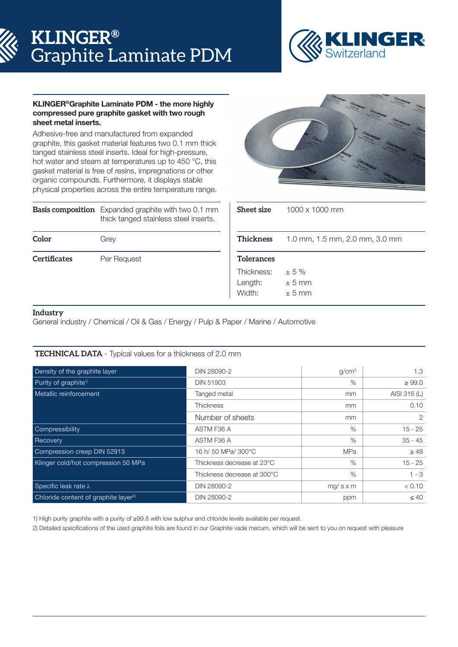# **KLINGER®** Graphite Laminate PDM



### KLINGER®Graphite Laminate PDM - the more highly compressed pure graphite gasket with two rough sheet metal inserts.

Adhesive-free and manufactured from expanded graphite, this gasket material features two 0.1 mm thick tanged stainless steel inserts. Ideal for high-pressure, hot water and steam at temperatures up to 450 °C, this gasket material is free of resins, impregnations or other organic compounds. Furthermore, it displays stable physical properties across the entire temperature range.

|                     | <b>Basis composition</b> Expanded graphite with two 0.1 mm<br>thick tanged stainless steel inserts. |
|---------------------|-----------------------------------------------------------------------------------------------------|
| Color               | Grey                                                                                                |
| <b>Certificates</b> | Per Request                                                                                         |



| Sheet size                      | $1000 \times 1000$ mm          |  |  |  |  |  |
|---------------------------------|--------------------------------|--|--|--|--|--|
| Thickness                       | 1.0 mm, 1.5 mm, 2.0 mm, 3.0 mm |  |  |  |  |  |
| <b>Tolerances</b>               |                                |  |  |  |  |  |
| Thickness:<br>Length:<br>Width: | ± 5%<br>$\pm$ 5 mm<br>$+5$ mm  |  |  |  |  |  |

## **Industry**

General industry / Chemical / Oil & Gas / Energy / Pulp & Paper / Marine / Automotive

## **TECHNICAL DATA** - Typical values for a thickness of 2.0 mm

| Density of the graphite layer                    | DIN 28090-2                 | q/cm <sup>3</sup> | 1.3          |
|--------------------------------------------------|-----------------------------|-------------------|--------------|
|                                                  |                             |                   |              |
| Purity of graphite <sup>1)</sup>                 | <b>DIN 51903</b>            | $\%$              | $\geq 99.0$  |
| Metallic reinforcement                           | Tanged metal                | mm                | AISI 316 (L) |
|                                                  | <b>Thickness</b>            | mm                | 0.10         |
|                                                  | Number of sheets            | mm                | 2            |
| Compressibility                                  | ASTM F36 A                  | $\%$              | $15 - 25$    |
| Recovery                                         | ASTM F36 A                  | $\%$              | $35 - 45$    |
| Compression creep DIN 52913                      | 16 h/ 50 MPa/ 300°C         | <b>MPa</b>        | $\geq 48$    |
| Klinger cold/hot compression 50 MPa              | Thickness decrease at 23°C  | $\%$              | $15 - 25$    |
|                                                  | Thickness decrease at 300°C | %                 | $1 - 3$      |
| Specific leak rate λ                             | DIN 28090-2                 | $mg/s \times m$   | < 0.10       |
| Chloride content of graphite layer <sup>2)</sup> | DIN 28090-2                 | ppm               | $\leq 40$    |

1) High purity graphite with a purity of ≥99.8 with low sulphur and chloride levels available per request.

2) Detailed specifications of the used graphite foils are found in our Graphite vade mecum, which will be sent to you on request with pleasure